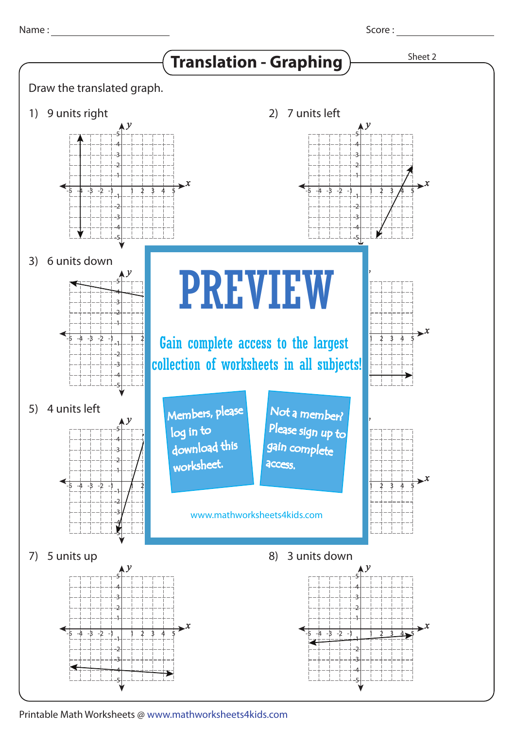